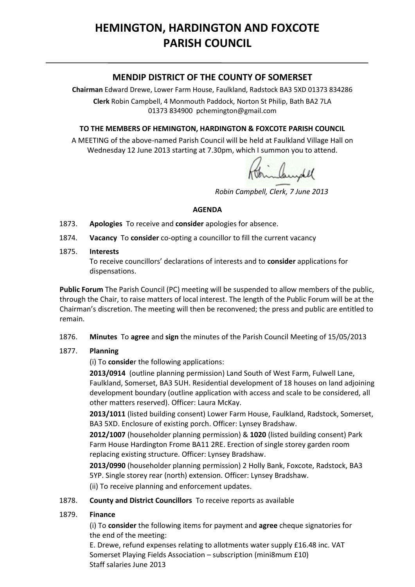# **HEMINGTON, HARDINGTON AND FOXCOTE PARISH COUNCIL**

## **MENDIP DISTRICT OF THE COUNTY OF SOMERSET**

**Chairman** Edward Drewe, Lower Farm House, Faulkland, Radstock BA3 5XD 01373 834286 **Clerk** Robin Campbell, 4 Monmouth Paddock, Norton St Philip, Bath BA2 7LA 01373 834900 [pchemington@gmail.com](mailto:pchemington@gmail.com)

#### **TO THE MEMBERS OF HEMINGTON, HARDINGTON & FOXCOTE PARISH COUNCIL**

A MEETING of the above-named Parish Council will be held at Faulkland Village Hall on Wednesday 12 June 2013 starting at 7.30pm, which I summon you to attend.

binbundel

*Robin Campbell, Clerk, 7 June 2013*

#### **AGENDA**

- 1873. **Apologies** To receive and **consider** apologies for absence.
- 1874. **Vacancy** To **consider** co-opting a councillor to fill the current vacancy
- 1875. **Interests**

To receive councillors' declarations of interests and to **consider** applications for dispensations.

**Public Forum** The Parish Council (PC) meeting will be suspended to allow members of the public, through the Chair, to raise matters of local interest. The length of the Public Forum will be at the Chairman's discretion. The meeting will then be reconvened; the press and public are entitled to remain.

1876. **Minutes** To **agree** and **sign** the minutes of the Parish Council Meeting of 15/05/2013

#### 1877. **Planning**

(i) To **conside**r the following applications:

**2013/0914** (outline planning permission) Land South of West Farm, Fulwell Lane, Faulkland, Somerset, BA3 5UH. Residential development of 18 houses on land adjoining development boundary (outline application with access and scale to be considered, all other matters reserved). Officer: Laura McKay.

**2013/1011** (listed building consent) Lower Farm House, Faulkland, Radstock, Somerset, BA3 5XD. Enclosure of existing porch. Officer: Lynsey Bradshaw.

**2012/1007** (householder planning permission) & **1020** (listed building consent) Park Farm House Hardington Frome BA11 2RE. Erection of single storey garden room replacing existing structure. Officer: Lynsey Bradshaw.

**2013/0990** (householder planning permission) 2 Holly Bank, Foxcote, Radstock, BA3 5YP. Single storey rear (north) extension. Officer: Lynsey Bradshaw.

(ii) To receive planning and enforcement updates.

#### 1878. **County and District Councillors** To receive reports as available

#### 1879. **Finance**

(i) To **consider** the following items for payment and **agree** cheque signatories for the end of the meeting:

E. Drewe, refund expenses relating to allotments water supply £16.48 inc. VAT Somerset Playing Fields Association – subscription (mini8mum £10) Staff salaries June 2013